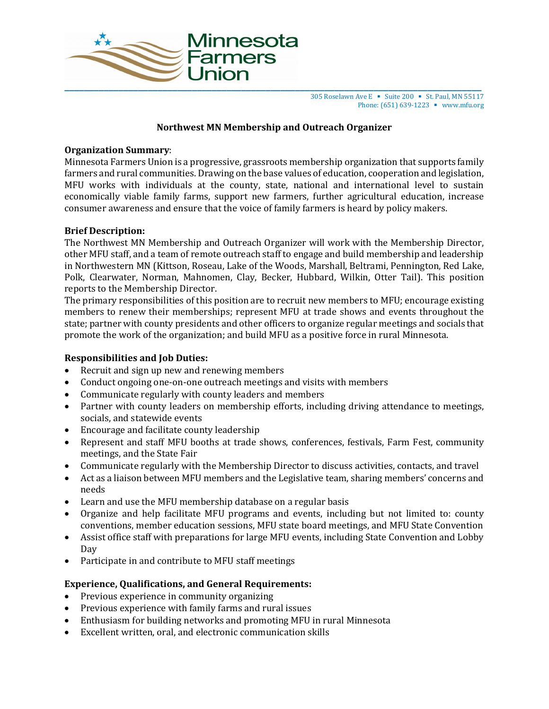

305 Roselawn Ave E ■ Suite 200 ■ St. Paul, MN 55117 Phone: (651) 639-1223 ■ www.mfu.org

### **Northwest MN Membership and Outreach Organizer**

### **Organization Summary**:

Minnesota Farmers Union is a progressive, grassroots membership organization that supports family farmers and rural communities. Drawing on the base values of education, cooperation and legislation, MFU works with individuals at the county, state, national and international level to sustain economically viable family farms, support new farmers, further agricultural education, increase consumer awareness and ensure that the voice of family farmers is heard by policy makers.

## **Brief Description:**

The Northwest MN Membership and Outreach Organizer will work with the Membership Director, other MFU staff, and a team of remote outreach staff to engage and build membership and leadership in Northwestern MN (Kittson, Roseau, Lake of the Woods, Marshall, Beltrami, Pennington, Red Lake, Polk, Clearwater, Norman, Mahnomen, Clay, Becker, Hubbard, Wilkin, Otter Tail). This position reports to the Membership Director.

The primary responsibilities of this position are to recruit new members to MFU; encourage existing members to renew their memberships; represent MFU at trade shows and events throughout the state; partner with county presidents and other officers to organize regular meetings and socials that promote the work of the organization; and build MFU as a positive force in rural Minnesota.

### **Responsibilities and Job Duties:**

- Recruit and sign up new and renewing members
- Conduct ongoing one-on-one outreach meetings and visits with members
- Communicate regularly with county leaders and members
- Partner with county leaders on membership efforts, including driving attendance to meetings, socials, and statewide events
- Encourage and facilitate county leadership
- Represent and staff MFU booths at trade shows, conferences, festivals, Farm Fest, community meetings, and the State Fair
- Communicate regularly with the Membership Director to discuss activities, contacts, and travel
- Act as a liaison between MFU members and the Legislative team, sharing members' concerns and needs
- Learn and use the MFU membership database on a regular basis
- Organize and help facilitate MFU programs and events, including but not limited to: county conventions, member education sessions, MFU state board meetings, and MFU State Convention
- Assist office staff with preparations for large MFU events, including State Convention and Lobby Day
- Participate in and contribute to MFU staff meetings

# **Experience, Qualifications, and General Requirements:**

- Previous experience in community organizing
- Previous experience with family farms and rural issues
- Enthusiasm for building networks and promoting MFU in rural Minnesota
- Excellent written, oral, and electronic communication skills